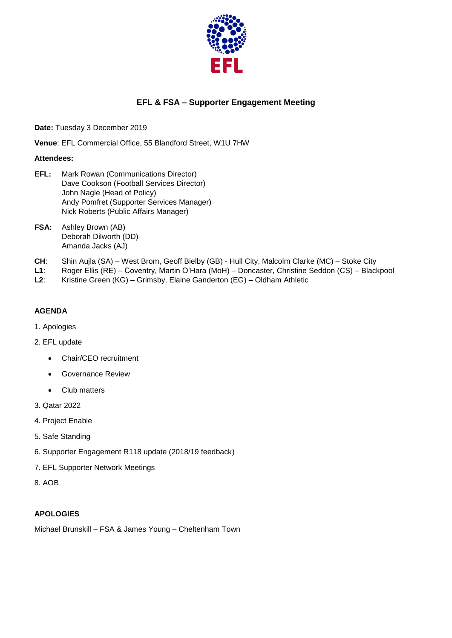

# **EFL & FSA – Supporter Engagement Meeting**

**Date:** Tuesday 3 December 2019

**Venue**: EFL Commercial Office, 55 Blandford Street, W1U 7HW

### **Attendees:**

- **EFL:** Mark Rowan (Communications Director) Dave Cookson (Football Services Director) John Nagle (Head of Policy) Andy Pomfret (Supporter Services Manager) Nick Roberts (Public Affairs Manager)
- **FSA:** Ashley Brown (AB) Deborah Dilworth (DD) Amanda Jacks (AJ)
- **CH**: Shin Aujla (SA) West Brom, Geoff Bielby (GB) Hull City, Malcolm Clarke (MC) Stoke City
- **L1**: Roger Ellis (RE) Coventry, Martin O'Hara (MoH) Doncaster, Christine Seddon (CS) Blackpool
- **L2**: Kristine Green (KG) Grimsby, Elaine Ganderton (EG) Oldham Athletic

# **AGENDA**

- 1. Apologies
- 2. EFL update
	- Chair/CEO recruitment
	- **•** Governance Review
	- Club matters
- 3. Qatar 2022
- 4. Project Enable
- 5. Safe Standing
- 6. Supporter Engagement R118 update (2018/19 feedback)
- 7. EFL Supporter Network Meetings
- 8. AOB

# **APOLOGIES**

Michael Brunskill – FSA & James Young – Cheltenham Town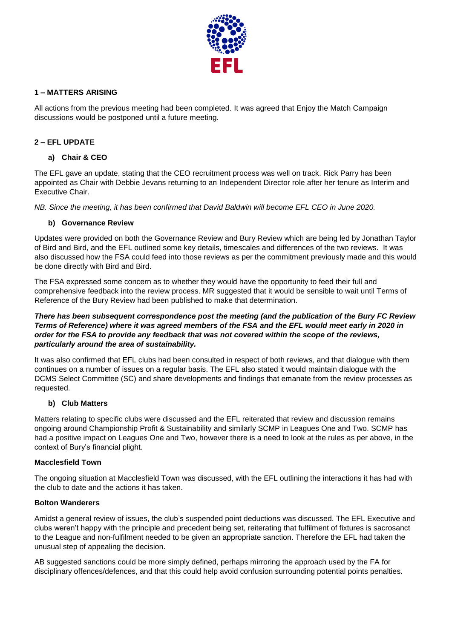

# **1 – MATTERS ARISING**

All actions from the previous meeting had been completed. It was agreed that Enjoy the Match Campaign discussions would be postponed until a future meeting.

# **2 – EFL UPDATE**

### **a) Chair & CEO**

The EFL gave an update, stating that the CEO recruitment process was well on track. Rick Parry has been appointed as Chair with Debbie Jevans returning to an Independent Director role after her tenure as Interim and Executive Chair.

*NB. Since the meeting, it has been confirmed that David Baldwin will become EFL CEO in June 2020.* 

### **b) Governance Review**

Updates were provided on both the Governance Review and Bury Review which are being led by Jonathan Taylor of Bird and Bird, and the EFL outlined some key details, timescales and differences of the two reviews. It was also discussed how the FSA could feed into those reviews as per the commitment previously made and this would be done directly with Bird and Bird.

The FSA expressed some concern as to whether they would have the opportunity to feed their full and comprehensive feedback into the review process. MR suggested that it would be sensible to wait until Terms of Reference of the Bury Review had been published to make that determination.

### *There has been subsequent correspondence post the meeting (and the publication of the Bury FC Review Terms of Reference) where it was agreed members of the FSA and the EFL would meet early in 2020 in order for the FSA to provide any feedback that was not covered within the scope of the reviews, particularly around the area of sustainability.*

It was also confirmed that EFL clubs had been consulted in respect of both reviews, and that dialogue with them continues on a number of issues on a regular basis. The EFL also stated it would maintain dialogue with the DCMS Select Committee (SC) and share developments and findings that emanate from the review processes as requested.

# **b) Club Matters**

Matters relating to specific clubs were discussed and the EFL reiterated that review and discussion remains ongoing around Championship Profit & Sustainability and similarly SCMP in Leagues One and Two. SCMP has had a positive impact on Leagues One and Two, however there is a need to look at the rules as per above, in the context of Bury's financial plight.

#### **Macclesfield Town**

The ongoing situation at Macclesfield Town was discussed, with the EFL outlining the interactions it has had with the club to date and the actions it has taken.

### **Bolton Wanderers**

Amidst a general review of issues, the club's suspended point deductions was discussed. The EFL Executive and clubs weren't happy with the principle and precedent being set, reiterating that fulfilment of fixtures is sacrosanct to the League and non-fulfilment needed to be given an appropriate sanction. Therefore the EFL had taken the unusual step of appealing the decision.

AB suggested sanctions could be more simply defined, perhaps mirroring the approach used by the FA for disciplinary offences/defences, and that this could help avoid confusion surrounding potential points penalties.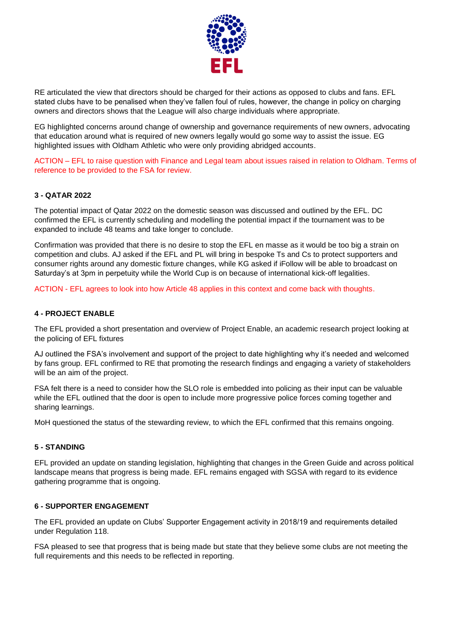

RE articulated the view that directors should be charged for their actions as opposed to clubs and fans. EFL stated clubs have to be penalised when they've fallen foul of rules, however, the change in policy on charging owners and directors shows that the League will also charge individuals where appropriate.

EG highlighted concerns around change of ownership and governance requirements of new owners, advocating that education around what is required of new owners legally would go some way to assist the issue. EG highlighted issues with Oldham Athletic who were only providing abridged accounts.

ACTION – EFL to raise question with Finance and Legal team about issues raised in relation to Oldham. Terms of reference to be provided to the FSA for review.

#### **3 - QATAR 2022**

The potential impact of Qatar 2022 on the domestic season was discussed and outlined by the EFL. DC confirmed the EFL is currently scheduling and modelling the potential impact if the tournament was to be expanded to include 48 teams and take longer to conclude.

Confirmation was provided that there is no desire to stop the EFL en masse as it would be too big a strain on competition and clubs. AJ asked if the EFL and PL will bring in bespoke Ts and Cs to protect supporters and consumer rights around any domestic fixture changes, while KG asked if iFollow will be able to broadcast on Saturday's at 3pm in perpetuity while the World Cup is on because of international kick-off legalities.

ACTION - EFL agrees to look into how Article 48 applies in this context and come back with thoughts.

#### **4 - PROJECT ENABLE**

The EFL provided a short presentation and overview of Project Enable, an academic research project looking at the policing of EFL fixtures

AJ outlined the FSA's involvement and support of the project to date highlighting why it's needed and welcomed by fans group. EFL confirmed to RE that promoting the research findings and engaging a variety of stakeholders will be an aim of the project.

FSA felt there is a need to consider how the SLO role is embedded into policing as their input can be valuable while the EFL outlined that the door is open to include more progressive police forces coming together and sharing learnings.

MoH questioned the status of the stewarding review, to which the EFL confirmed that this remains ongoing.

#### **5 - STANDING**

EFL provided an update on standing legislation, highlighting that changes in the Green Guide and across political landscape means that progress is being made. EFL remains engaged with SGSA with regard to its evidence gathering programme that is ongoing.

#### **6 - SUPPORTER ENGAGEMENT**

The EFL provided an update on Clubs' Supporter Engagement activity in 2018/19 and requirements detailed under Regulation 118.

FSA pleased to see that progress that is being made but state that they believe some clubs are not meeting the full requirements and this needs to be reflected in reporting.